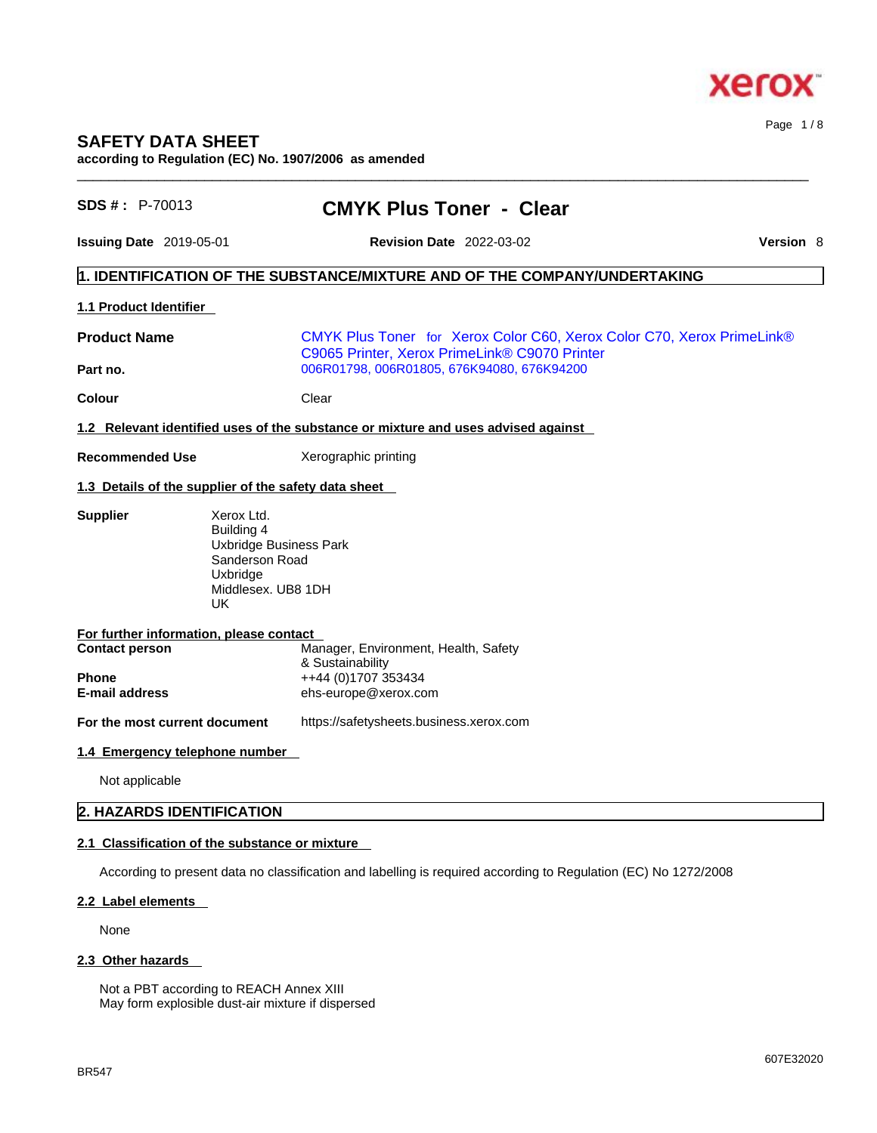

# **SAFETY DATA SHEET**

**according to Regulation (EC) No. 1907/2006 as amended** 

| SDS #: P-70013                          | <b>CMYK Plus Toner - Clear</b>                                                                                          |           |  |  |  |
|-----------------------------------------|-------------------------------------------------------------------------------------------------------------------------|-----------|--|--|--|
| <b>Issuing Date</b> 2019-05-01          | <b>Revision Date</b> 2022-03-02                                                                                         | Version 8 |  |  |  |
|                                         | 1. IDENTIFICATION OF THE SUBSTANCE/MIXTURE AND OF THE COMPANY/UNDERTAKING                                               |           |  |  |  |
| 1.1 Product Identifier                  |                                                                                                                         |           |  |  |  |
| <b>Product Name</b>                     | CMYK Plus Toner for Xerox Color C60, Xerox Color C70, Xerox PrimeLink®<br>C9065 Printer, Xerox PrimeLink® C9070 Printer |           |  |  |  |
| Part no.                                | 006R01798, 006R01805, 676K94080, 676K94200                                                                              |           |  |  |  |
| <b>Colour</b>                           | Clear                                                                                                                   |           |  |  |  |
|                                         | 1.2 Relevant identified uses of the substance or mixture and uses advised against                                       |           |  |  |  |
| <b>Recommended Use</b>                  | Xerographic printing                                                                                                    |           |  |  |  |
|                                         | 1.3 Details of the supplier of the safety data sheet                                                                    |           |  |  |  |
|                                         | Building 4<br>Uxbridge Business Park<br>Sanderson Road<br>Uxbridge<br>Middlesex. UB8 1DH<br>UK                          |           |  |  |  |
| For further information, please contact |                                                                                                                         |           |  |  |  |
| <b>Contact person</b>                   | Manager, Environment, Health, Safety<br>& Sustainability                                                                |           |  |  |  |
| <b>Phone</b>                            | ++44 (0)1707 353434                                                                                                     |           |  |  |  |
| <b>E-mail address</b>                   | ehs-europe@xerox.com                                                                                                    |           |  |  |  |
| For the most current document           | https://safetysheets.business.xerox.com                                                                                 |           |  |  |  |
| 1.4 Emergency telephone number          |                                                                                                                         |           |  |  |  |
| Not applicable                          |                                                                                                                         |           |  |  |  |
| 2. HAZARDS IDENTIFICATION               |                                                                                                                         |           |  |  |  |
|                                         | 2.1 Classification of the substance or mixture                                                                          |           |  |  |  |
|                                         | According to present data no classification and labelling is required according to Regulation (EC) No 1272/2008         |           |  |  |  |
| 2.2 Label elements                      |                                                                                                                         |           |  |  |  |

 $\_$  ,  $\_$  ,  $\_$  ,  $\_$  ,  $\_$  ,  $\_$  ,  $\_$  ,  $\_$  ,  $\_$  ,  $\_$  ,  $\_$  ,  $\_$  ,  $\_$  ,  $\_$  ,  $\_$  ,  $\_$  ,  $\_$  ,  $\_$  ,  $\_$  ,  $\_$  ,  $\_$  ,  $\_$  ,  $\_$  ,  $\_$  ,  $\_$  ,  $\_$  ,  $\_$  ,  $\_$  ,  $\_$  ,  $\_$  ,  $\_$  ,  $\_$  ,  $\_$  ,  $\_$  ,  $\_$  ,  $\_$  ,  $\_$  ,

None

## **2.3 Other hazards**

Not a PBT according to REACH Annex XIII May form explosible dust-air mixture if dispersed Page 1 / 8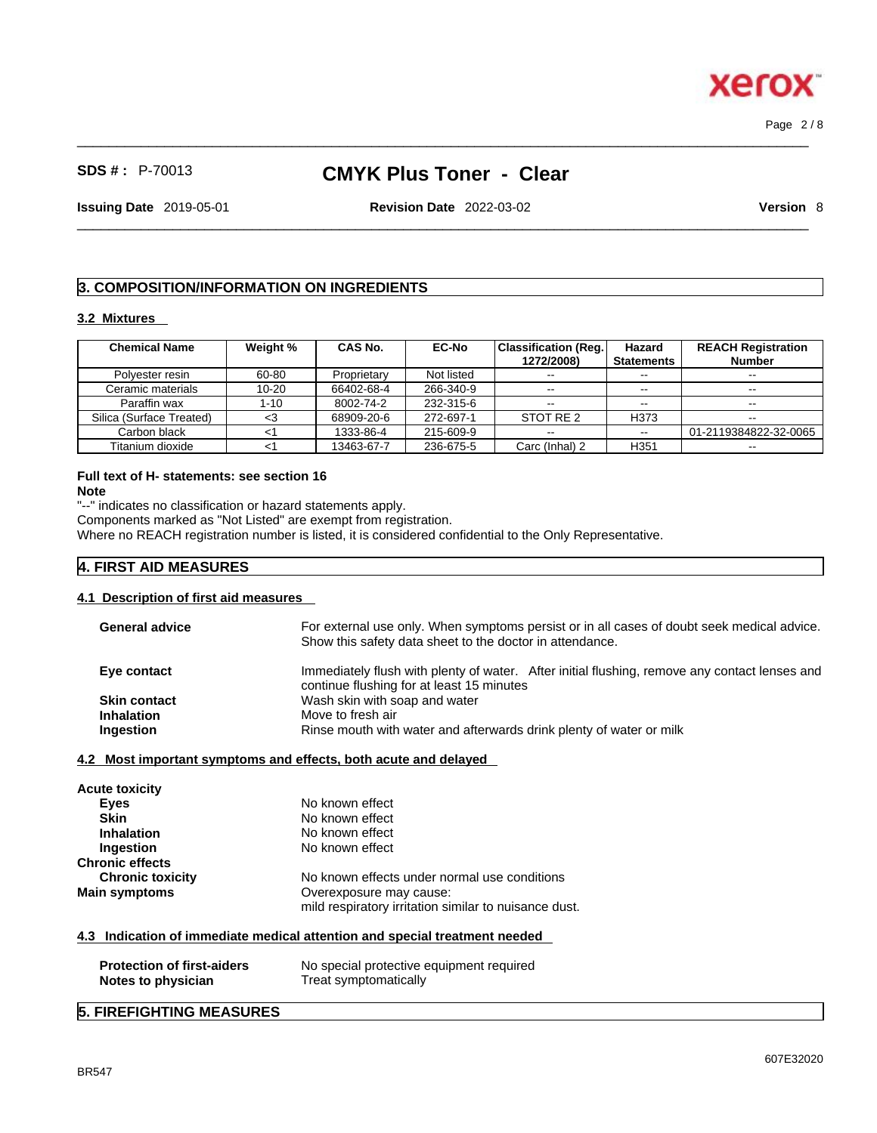$\_$  ,  $\_$  ,  $\_$  ,  $\_$  ,  $\_$  ,  $\_$  ,  $\_$  ,  $\_$  ,  $\_$  ,  $\_$  ,  $\_$  ,  $\_$  ,  $\_$  ,  $\_$  ,  $\_$  ,  $\_$  ,  $\_$  ,  $\_$  ,  $\_$  ,  $\_$  ,  $\_$  ,  $\_$  ,  $\_$  ,  $\_$  ,  $\_$  ,  $\_$  ,  $\_$  ,  $\_$  ,  $\_$  ,  $\_$  ,  $\_$  ,  $\_$  ,  $\_$  ,  $\_$  ,  $\_$  ,  $\_$  ,  $\_$  , Page 2 / 8

**Xerox** 

# **SDS # :** P-70013 **CMYK Plus Toner - Clear**

**Issuing Date** 2019-05-01 **Revision Date** 2022-03-02 **Version** 8

#### $\_$  ,  $\_$  ,  $\_$  ,  $\_$  ,  $\_$  ,  $\_$  ,  $\_$  ,  $\_$  ,  $\_$  ,  $\_$  ,  $\_$  ,  $\_$  ,  $\_$  ,  $\_$  ,  $\_$  ,  $\_$  ,  $\_$  ,  $\_$  ,  $\_$  ,  $\_$  ,  $\_$  ,  $\_$  ,  $\_$  ,  $\_$  ,  $\_$  ,  $\_$  ,  $\_$  ,  $\_$  ,  $\_$  ,  $\_$  ,  $\_$  ,  $\_$  ,  $\_$  ,  $\_$  ,  $\_$  ,  $\_$  ,  $\_$  ,

## **3. COMPOSITION/INFORMATION ON INGREDIENTS**

## **3.2 Mixtures**

| <b>Chemical Name</b>     | Weight %  | CAS No.     | <b>EC-No</b> | Classification (Reg. | Hazard            | <b>REACH Registration</b> |
|--------------------------|-----------|-------------|--------------|----------------------|-------------------|---------------------------|
|                          |           |             |              | 1272/2008)           | <b>Statements</b> | <b>Number</b>             |
| Polvester resin          | 60-80     | Proprietary | Not listed   | $- -$                | $- -$             | --                        |
| Ceramic materials        | $10 - 20$ | 66402-68-4  | 266-340-9    | $- -$                | $- -$             | $- -$                     |
| Paraffin wax             | 1-10      | 8002-74-2   | 232-315-6    | $- -$                | $- -$             |                           |
| Silica (Surface Treated) | <3        | 68909-20-6  | 272-697-1    | STOT RE 2            | H373              |                           |
| Carbon black             |           | 1333-86-4   | 215-609-9    | $\sim$ $\sim$        | $\sim$            | 01-2119384822-32-0065     |
| Titanium dioxide         |           | 13463-67-7  | 236-675-5    | Carc (Inhal) 2       | H351              | $- -$                     |

## **Full text of H- statements: see section 16**

**Note**

"--" indicates no classification or hazard statements apply. Components marked as "Not Listed" are exempt from registration. Where no REACH registration number is listed, it is considered confidential to the Only Representative.

## **4. FIRST AID MEASURES**

## **4.1 Description of first aid measures**

| <b>General advice</b>                                 | For external use only. When symptoms persist or in all cases of doubt seek medical advice.<br>Show this safety data sheet to the doctor in attendance. |
|-------------------------------------------------------|--------------------------------------------------------------------------------------------------------------------------------------------------------|
| Eye contact                                           | Immediately flush with plenty of water. After initial flushing, remove any contact lenses and<br>continue flushing for at least 15 minutes             |
| <b>Skin contact</b><br><b>Inhalation</b><br>Ingestion | Wash skin with soap and water<br>Move to fresh air<br>Rinse mouth with water and afterwards drink plenty of water or milk                              |

#### **4.2 Most important symptoms and effects, both acute and delayed**

| <b>Acute toxicity</b>   |                                                       |
|-------------------------|-------------------------------------------------------|
| Eyes                    | No known effect                                       |
| <b>Skin</b>             | No known effect                                       |
| <b>Inhalation</b>       | No known effect                                       |
| Ingestion               | No known effect                                       |
| <b>Chronic effects</b>  |                                                       |
| <b>Chronic toxicity</b> | No known effects under normal use conditions          |
| <b>Main symptoms</b>    | Overexposure may cause:                               |
|                         | mild respiratory irritation similar to nuisance dust. |
|                         |                                                       |

## **4.3 Indication of immediate medical attention and special treatment needed**

| <b>Protection of first-aiders</b> | No special protective equipment required |
|-----------------------------------|------------------------------------------|
| Notes to physician                | Treat symptomatically                    |

## **5. FIREFIGHTING MEASURES**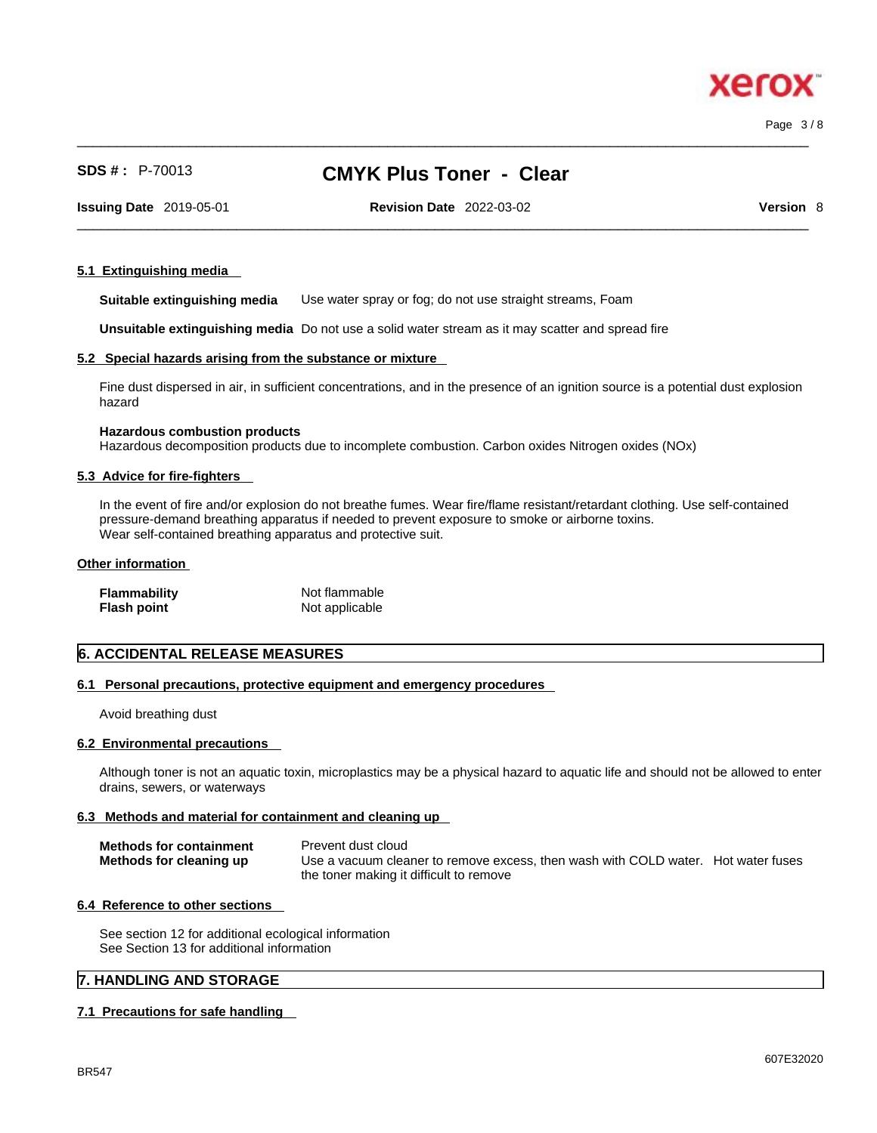xero

# **SDS # :** P-70013 **CMYK Plus Toner - Clear**

 $\_$  ,  $\_$  ,  $\_$  ,  $\_$  ,  $\_$  ,  $\_$  ,  $\_$  ,  $\_$  ,  $\_$  ,  $\_$  ,  $\_$  ,  $\_$  ,  $\_$  ,  $\_$  ,  $\_$  ,  $\_$  ,  $\_$  ,  $\_$  ,  $\_$  ,  $\_$  ,  $\_$  ,  $\_$  ,  $\_$  ,  $\_$  ,  $\_$  ,  $\_$  ,  $\_$  ,  $\_$  ,  $\_$  ,  $\_$  ,  $\_$  ,  $\_$  ,  $\_$  ,  $\_$  ,  $\_$  ,  $\_$  ,  $\_$  ,

**Issuing Date** 2019-05-01 **Revision Date** 2022-03-02 **Version** 8

 $\_$  ,  $\_$  ,  $\_$  ,  $\_$  ,  $\_$  ,  $\_$  ,  $\_$  ,  $\_$  ,  $\_$  ,  $\_$  ,  $\_$  ,  $\_$  ,  $\_$  ,  $\_$  ,  $\_$  ,  $\_$  ,  $\_$  ,  $\_$  ,  $\_$  ,  $\_$  ,  $\_$  ,  $\_$  ,  $\_$  ,  $\_$  ,  $\_$  ,  $\_$  ,  $\_$  ,  $\_$  ,  $\_$  ,  $\_$  ,  $\_$  ,  $\_$  ,  $\_$  ,  $\_$  ,  $\_$  ,  $\_$  ,  $\_$  ,

#### **5.1 Extinguishing media**

**Suitable extinguishing media** Use water spray or fog; do not use straight streams, Foam

**Unsuitable extinguishing media** Do not use a solid water stream as it may scatterand spread fire

#### **5.2 Special hazards arising from the substance or mixture**

Fine dust dispersed in air, in sufficient concentrations, and in the presence of an ignition source is a potential dust explosion hazard

#### **Hazardous combustion products**

Hazardous decomposition products due to incomplete combustion. Carbon oxides Nitrogen oxides (NOx)

## **5.3 Advice for fire-fighters**

In the event of fire and/or explosion do not breathe fumes. Wear fire/flame resistant/retardant clothing. Use self-contained pressure-demand breathing apparatus if needed to prevent exposure to smoke or airborne toxins. Wear self-contained breathing apparatus and protective suit.

#### **Other information**

| <b>Flammability</b> | Not flammable  |
|---------------------|----------------|
| <b>Flash point</b>  | Not applicable |

## **6. ACCIDENTAL RELEASE MEASURES**

## **6.1 Personal precautions, protective equipment and emergency procedures**

Avoid breathing dust

#### **6.2 Environmental precautions**

Although toner is not an aquatic toxin, microplastics may be a physical hazard to aquatic life and should not be allowed to enter drains, sewers, or waterways

#### **6.3 Methods and material for containment and cleaning up**

| <b>Methods for containment</b> | Prevent dust cloud                                                                |
|--------------------------------|-----------------------------------------------------------------------------------|
| Methods for cleaning up        | Use a vacuum cleaner to remove excess, then wash with COLD water. Hot water fuses |
|                                | the toner making it difficult to remove                                           |

### **6.4 Reference to other sections**

See section 12 for additional ecological information See Section 13 for additional information

## **7. HANDLING AND STORAGE**

#### **7.1 Precautions for safe handling**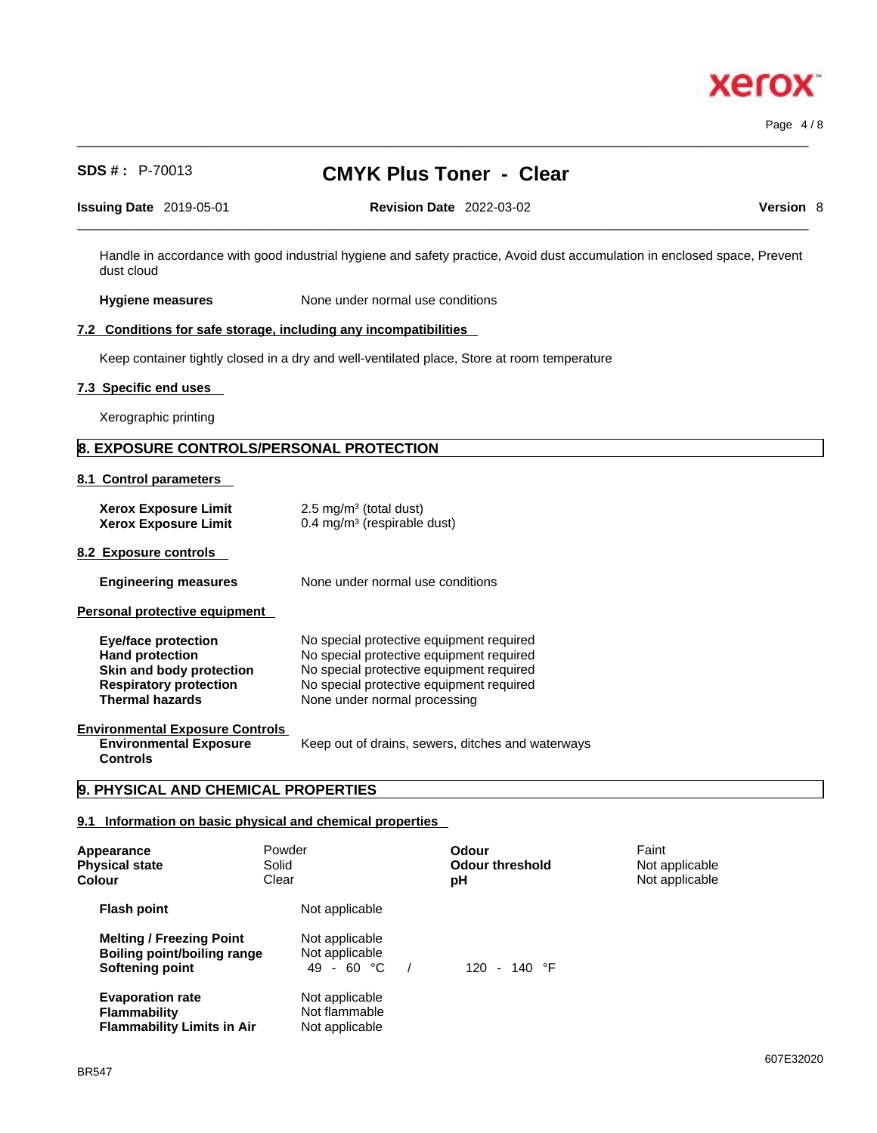# **SDS # :** P-70013 **CMYK Plus Toner - Clear**

 $\_$  ,  $\_$  ,  $\_$  ,  $\_$  ,  $\_$  ,  $\_$  ,  $\_$  ,  $\_$  ,  $\_$  ,  $\_$  ,  $\_$  ,  $\_$  ,  $\_$  ,  $\_$  ,  $\_$  ,  $\_$  ,  $\_$  ,  $\_$  ,  $\_$  ,  $\_$  ,  $\_$  ,  $\_$  ,  $\_$  ,  $\_$  ,  $\_$  ,  $\_$  ,  $\_$  ,  $\_$  ,  $\_$  ,  $\_$  ,  $\_$  ,  $\_$  ,  $\_$  ,  $\_$  ,  $\_$  ,  $\_$  ,  $\_$  ,

| <b>Issuing Date 2019-05-01</b> |  |
|--------------------------------|--|
|--------------------------------|--|

**Issuing Date** 2019-05-01 **Revision Date** 2022-03-02 **Version** 8

 $\_$  ,  $\_$  ,  $\_$  ,  $\_$  ,  $\_$  ,  $\_$  ,  $\_$  ,  $\_$  ,  $\_$  ,  $\_$  ,  $\_$  ,  $\_$  ,  $\_$  ,  $\_$  ,  $\_$  ,  $\_$  ,  $\_$  ,  $\_$  ,  $\_$  ,  $\_$  ,  $\_$  ,  $\_$  ,  $\_$  ,  $\_$  ,  $\_$  ,  $\_$  ,  $\_$  ,  $\_$  ,  $\_$  ,  $\_$  ,  $\_$  ,  $\_$  ,  $\_$  ,  $\_$  ,  $\_$  ,  $\_$  ,  $\_$  ,

Handle in accordance with good industrial hygiene and safety practice, Avoid dust accumulation in enclosed space, Prevent dust cloud

**Hygiene measures** None under normal use conditions

## **7.2 Conditions for safe storage, including any incompatibilities**

Keep container tightly closed in a dry and well-ventilated place, Store at room temperature

#### **7.3 Specific end uses**

Xerographic printing

## **8. EXPOSURE CONTROLS/PERSONAL PROTECTION**

**8.1 Control parameters** 

| <b>Xerox Exposure Limit</b><br><b>Xerox Exposure Limit</b>                                                                                  | $2.5 \text{ mg/m}^3$ (total dust)<br>$0.4 \text{ mg/m}^3$ (respirable dust)                                                                                                                                  |
|---------------------------------------------------------------------------------------------------------------------------------------------|--------------------------------------------------------------------------------------------------------------------------------------------------------------------------------------------------------------|
| 8.2 Exposure controls                                                                                                                       |                                                                                                                                                                                                              |
| <b>Engineering measures</b>                                                                                                                 | None under normal use conditions                                                                                                                                                                             |
| Personal protective equipment                                                                                                               |                                                                                                                                                                                                              |
| <b>Eye/face protection</b><br><b>Hand protection</b><br>Skin and body protection<br><b>Respiratory protection</b><br><b>Thermal hazards</b> | No special protective equipment required<br>No special protective equipment required<br>No special protective equipment required<br>No special protective equipment required<br>None under normal processing |
| <b>Environmental Exposure Controls</b><br><b>Environmental Exposure</b>                                                                     | Keep out of drains, sewers, ditches and waterways                                                                                                                                                            |

**Controls** 

## **9. PHYSICAL AND CHEMICAL PROPERTIES**

## **9.1 Information on basic physical and chemical properties**

| Appearance<br><b>Physical state</b><br>Colour                                            | Powder<br>Solid<br>Clear                          | Odour<br><b>Odour threshold</b><br>рH | Faint<br>Not applicable<br>Not applicable |  |
|------------------------------------------------------------------------------------------|---------------------------------------------------|---------------------------------------|-------------------------------------------|--|
| <b>Flash point</b>                                                                       | Not applicable                                    |                                       |                                           |  |
| <b>Melting / Freezing Point</b><br><b>Boiling point/boiling range</b><br>Softening point | Not applicable<br>Not applicable<br>49 - 60 °C    | 120 - 140 $\degree$ F                 |                                           |  |
| <b>Evaporation rate</b><br><b>Flammability</b><br><b>Flammability Limits in Air</b>      | Not applicable<br>Not flammable<br>Not applicable |                                       |                                           |  |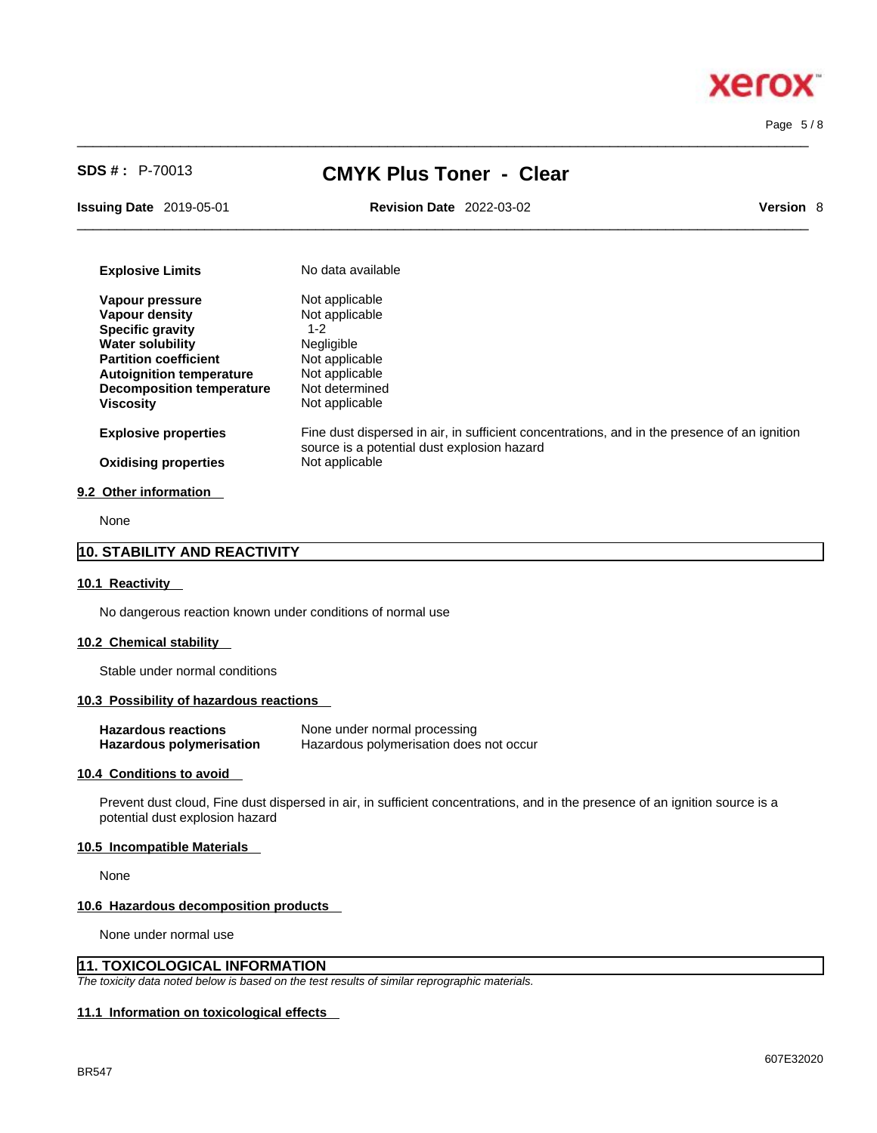Page 5 / 8

# **SDS # :** P-70013 **CMYK Plus Toner - Clear**

 $\_$  ,  $\_$  ,  $\_$  ,  $\_$  ,  $\_$  ,  $\_$  ,  $\_$  ,  $\_$  ,  $\_$  ,  $\_$  ,  $\_$  ,  $\_$  ,  $\_$  ,  $\_$  ,  $\_$  ,  $\_$  ,  $\_$  ,  $\_$  ,  $\_$  ,  $\_$  ,  $\_$  ,  $\_$  ,  $\_$  ,  $\_$  ,  $\_$  ,  $\_$  ,  $\_$  ,  $\_$  ,  $\_$  ,  $\_$  ,  $\_$  ,  $\_$  ,  $\_$  ,  $\_$  ,  $\_$  ,  $\_$  ,  $\_$  ,

**Issuing Date** 2019-05-01 **Revision Date** 2022-03-02 **Version** 8

 $\_$  ,  $\_$  ,  $\_$  ,  $\_$  ,  $\_$  ,  $\_$  ,  $\_$  ,  $\_$  ,  $\_$  ,  $\_$  ,  $\_$  ,  $\_$  ,  $\_$  ,  $\_$  ,  $\_$  ,  $\_$  ,  $\_$  ,  $\_$  ,  $\_$  ,  $\_$  ,  $\_$  ,  $\_$  ,  $\_$  ,  $\_$  ,  $\_$  ,  $\_$  ,  $\_$  ,  $\_$  ,  $\_$  ,  $\_$  ,  $\_$  ,  $\_$  ,  $\_$  ,  $\_$  ,  $\_$  ,  $\_$  ,  $\_$  ,

| <b>Explosive Limits</b>          | No data available                                                                                                                           |
|----------------------------------|---------------------------------------------------------------------------------------------------------------------------------------------|
| Vapour pressure                  | Not applicable                                                                                                                              |
| Vapour density                   | Not applicable                                                                                                                              |
| <b>Specific gravity</b>          | $1 - 2$                                                                                                                                     |
| <b>Water solubility</b>          | <b>Negligible</b>                                                                                                                           |
| <b>Partition coefficient</b>     | Not applicable                                                                                                                              |
| <b>Autoignition temperature</b>  | Not applicable                                                                                                                              |
| <b>Decomposition temperature</b> | Not determined                                                                                                                              |
| <b>Viscosity</b>                 | Not applicable                                                                                                                              |
| <b>Explosive properties</b>      | Fine dust dispersed in air, in sufficient concentrations, and in the presence of an ignition<br>source is a potential dust explosion hazard |
| <b>Oxidising properties</b>      | Not applicable                                                                                                                              |
| 9.2 Other information            |                                                                                                                                             |

None

## **10. STABILITY AND REACTIVITY**

#### **10.1 Reactivity**

No dangerous reaction known under conditions of normal use

#### **10.2 Chemical stability**

Stable under normal conditions

## **10.3 Possibility of hazardous reactions**

| <b>Hazardous reactions</b>      | None under normal processing            |
|---------------------------------|-----------------------------------------|
| <b>Hazardous polymerisation</b> | Hazardous polymerisation does not occur |

#### **10.4 Conditions to avoid**

Prevent dust cloud, Fine dust dispersed in air, in sufficient concentrations, and in the presence of an ignition source is a potential dust explosion hazard

#### **10.5 Incompatible Materials**

None

#### **10.6 Hazardous decomposition products**

None under normal use

## **11. TOXICOLOGICAL INFORMATION**

*The toxicity data noted below is based on the test results of similar reprographic materials.* 

## **11.1 Information on toxicological effects**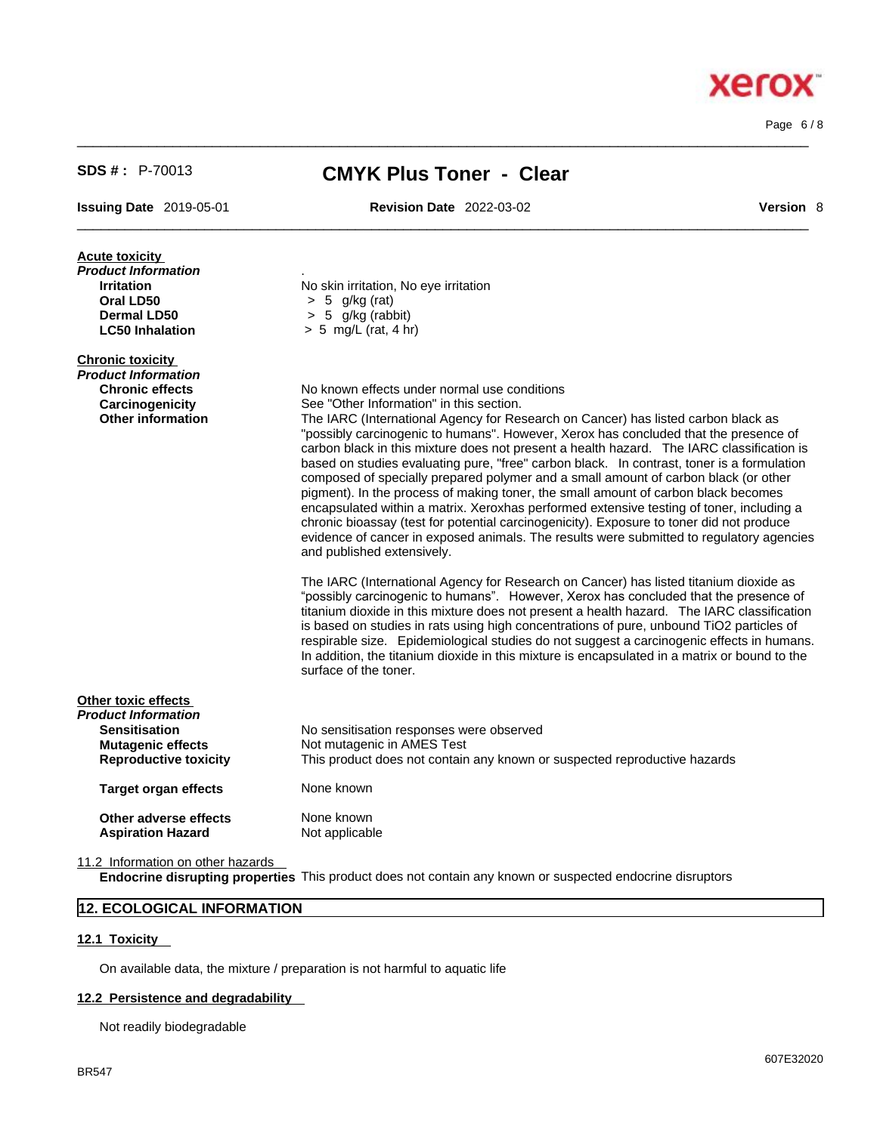Page 6 / 8

**Xerox** 

| $SDS #: P-70013$                                  | <b>CMYK Plus Toner - Clear</b>                                                                                                                                                         |  |
|---------------------------------------------------|----------------------------------------------------------------------------------------------------------------------------------------------------------------------------------------|--|
| <b>Issuing Date 2019-05-01</b>                    | <b>Revision Date 2022-03-02</b><br><b>Version 8</b>                                                                                                                                    |  |
| <b>Acute toxicity</b>                             |                                                                                                                                                                                        |  |
| Product Information                               |                                                                                                                                                                                        |  |
| <b>Irritation</b>                                 | No skin irritation, No eye irritation                                                                                                                                                  |  |
| Oral LD50                                         | $> 5$ g/kg (rat)<br>$> 5$ g/kg (rabbit)                                                                                                                                                |  |
| <b>Dermal LD50</b><br><b>LC50 Inhalation</b>      | $> 5$ mg/L (rat, 4 hr)                                                                                                                                                                 |  |
| <b>Chronic toxicity</b>                           |                                                                                                                                                                                        |  |
| Product Information                               |                                                                                                                                                                                        |  |
| <b>Chronic effects</b><br>Carcinogenicity         | No known effects under normal use conditions<br>See "Other Information" in this section.                                                                                               |  |
| <b>Other information</b>                          | The IARC (International Agency for Research on Cancer) has listed carbon black as                                                                                                      |  |
|                                                   | "possibly carcinogenic to humans". However, Xerox has concluded that the presence of                                                                                                   |  |
|                                                   | carbon black in this mixture does not present a health hazard. The IARC classification is                                                                                              |  |
|                                                   | based on studies evaluating pure, "free" carbon black. In contrast, toner is a formulation                                                                                             |  |
|                                                   | composed of specially prepared polymer and a small amount of carbon black (or other                                                                                                    |  |
|                                                   | pigment). In the process of making toner, the small amount of carbon black becomes                                                                                                     |  |
|                                                   | encapsulated within a matrix. Xeroxhas performed extensive testing of toner, including a<br>chronic bioassay (test for potential carcinogenicity). Exposure to toner did not produce   |  |
|                                                   | evidence of cancer in exposed animals. The results were submitted to regulatory agencies                                                                                               |  |
|                                                   | and published extensively.                                                                                                                                                             |  |
|                                                   | The IARC (International Agency for Research on Cancer) has listed titanium dioxide as                                                                                                  |  |
|                                                   | "possibly carcinogenic to humans". However, Xerox has concluded that the presence of                                                                                                   |  |
|                                                   | titanium dioxide in this mixture does not present a health hazard. The IARC classification<br>is based on studies in rats using high concentrations of pure, unbound TiO2 particles of |  |
|                                                   | respirable size. Epidemiological studies do not suggest a carcinogenic effects in humans.                                                                                              |  |
|                                                   | In addition, the titanium dioxide in this mixture is encapsulated in a matrix or bound to the                                                                                          |  |
|                                                   | surface of the toner.                                                                                                                                                                  |  |
| Other toxic effects                               |                                                                                                                                                                                        |  |
| Product Information                               |                                                                                                                                                                                        |  |
| <b>Sensitisation</b><br><b>Mutagenic effects</b>  | No sensitisation responses were observed<br>Not mutagenic in AMES Test                                                                                                                 |  |
| <b>Reproductive toxicity</b>                      | This product does not contain any known or suspected reproductive hazards                                                                                                              |  |
| <b>Target organ effects</b>                       | None known                                                                                                                                                                             |  |
|                                                   | None known                                                                                                                                                                             |  |
| Other adverse effects<br><b>Aspiration Hazard</b> | Not applicable                                                                                                                                                                         |  |
|                                                   |                                                                                                                                                                                        |  |

11.2 Information on other hazards

**Endocrine disrupting properties** This product does not contain any known or suspected endocrine disruptors

## **12. ECOLOGICAL INFORMATION**

## **12.1 Toxicity**

On available data, the mixture / preparation is not harmful to aquatic life

## **12.2 Persistence and degradability**

Not readily biodegradable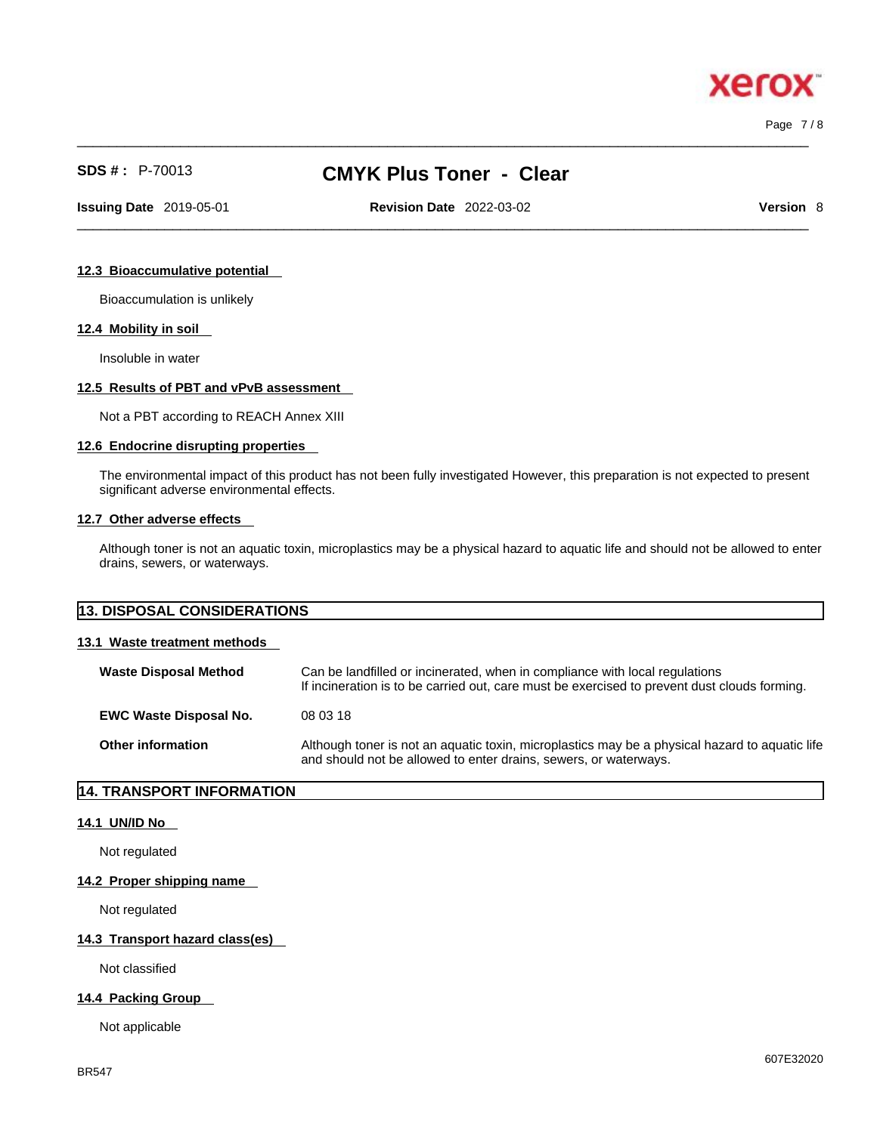Page 7 / 8

**xero** 

# **SDS # :** P-70013 **CMYK Plus Toner - Clear**

 $\_$  ,  $\_$  ,  $\_$  ,  $\_$  ,  $\_$  ,  $\_$  ,  $\_$  ,  $\_$  ,  $\_$  ,  $\_$  ,  $\_$  ,  $\_$  ,  $\_$  ,  $\_$  ,  $\_$  ,  $\_$  ,  $\_$  ,  $\_$  ,  $\_$  ,  $\_$  ,  $\_$  ,  $\_$  ,  $\_$  ,  $\_$  ,  $\_$  ,  $\_$  ,  $\_$  ,  $\_$  ,  $\_$  ,  $\_$  ,  $\_$  ,  $\_$  ,  $\_$  ,  $\_$  ,  $\_$  ,  $\_$  ,  $\_$  ,

 $\_$  ,  $\_$  ,  $\_$  ,  $\_$  ,  $\_$  ,  $\_$  ,  $\_$  ,  $\_$  ,  $\_$  ,  $\_$  ,  $\_$  ,  $\_$  ,  $\_$  ,  $\_$  ,  $\_$  ,  $\_$  ,  $\_$  ,  $\_$  ,  $\_$  ,  $\_$  ,  $\_$  ,  $\_$  ,  $\_$  ,  $\_$  ,  $\_$  ,  $\_$  ,  $\_$  ,  $\_$  ,  $\_$  ,  $\_$  ,  $\_$  ,  $\_$  ,  $\_$  ,  $\_$  ,  $\_$  ,  $\_$  ,  $\_$  , **Issuing Date** 2019-05-01 **Revision Date** 2022-03-02 **Version** 8

## **12.3 Bioaccumulative potential**

Bioaccumulation is unlikely

## **12.4 Mobility in soil**

Insoluble in water

#### **12.5 Results of PBT and vPvB assessment**

Not a PBT according to REACH Annex XIII

#### **12.6 Endocrine disrupting properties**

The environmental impact of this product has not been fully investigated However, this preparation is not expected to present significant adverse environmental effects.

## **12.7 Other adverse effects**

Although toner is not an aquatic toxin, microplastics may be a physical hazard to aquatic life and should not be allowed to enter drains, sewers, or waterways.

| <b>13. DISPOSAL CONSIDERATIONS</b> |  |
|------------------------------------|--|
|                                    |  |

## **13.1 Waste treatment methods**

| <b>Waste Disposal Method</b>  | Can be landfilled or incinerated, when in compliance with local regulations<br>If incineration is to be carried out, care must be exercised to prevent dust clouds forming. |
|-------------------------------|-----------------------------------------------------------------------------------------------------------------------------------------------------------------------------|
| <b>EWC Waste Disposal No.</b> | 08 03 18                                                                                                                                                                    |
| <b>Other information</b>      | Although toner is not an aquatic toxin, microplastics may be a physical hazard to aquatic life<br>and should not be allowed to enter drains, sewers, or waterways.          |

## **14. TRANSPORT INFORMATION**

#### **14.1 UN/ID No**

Not regulated

#### **14.2 Proper shipping name**

Not regulated

#### **14.3 Transport hazard class(es)**

Not classified

## **14.4 Packing Group**

Not applicable